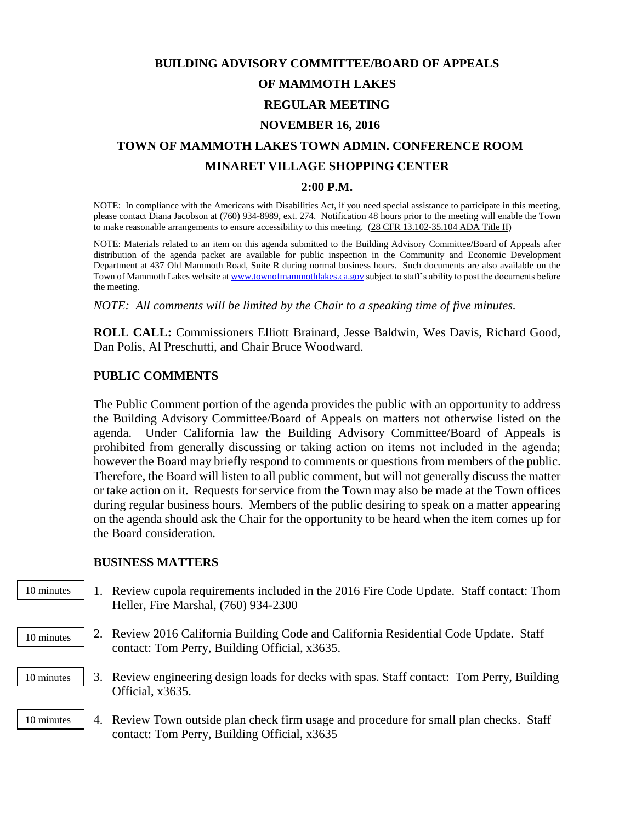# **BUILDING ADVISORY COMMITTEE/BOARD OF APPEALS OF MAMMOTH LAKES REGULAR MEETING NOVEMBER 16, 2016 TOWN OF MAMMOTH LAKES TOWN ADMIN. CONFERENCE ROOM**

## **MINARET VILLAGE SHOPPING CENTER**

#### **2:00 P.M.**

NOTE: In compliance with the Americans with Disabilities Act, if you need special assistance to participate in this meeting, please contact Diana Jacobson at (760) 934-8989, ext. 274. Notification 48 hours prior to the meeting will enable the Town to make reasonable arrangements to ensure accessibility to this meeting. (28 CFR 13.102-35.104 ADA Title II)

NOTE: Materials related to an item on this agenda submitted to the Building Advisory Committee/Board of Appeals after distribution of the agenda packet are available for public inspection in the Community and Economic Development Department at 437 Old Mammoth Road, Suite R during normal business hours. Such documents are also available on the Town of Mammoth Lakes website a[t www.townofmammothlakes.ca.gov](http://www.townofmammothlakes.ca.gov/) subject to staff's ability to post the documents before the meeting.

*NOTE: All comments will be limited by the Chair to a speaking time of five minutes.*

**ROLL CALL:** Commissioners Elliott Brainard, Jesse Baldwin, Wes Davis, Richard Good, Dan Polis, Al Preschutti, and Chair Bruce Woodward.

### **PUBLIC COMMENTS**

The Public Comment portion of the agenda provides the public with an opportunity to address the Building Advisory Committee/Board of Appeals on matters not otherwise listed on the agenda. Under California law the Building Advisory Committee/Board of Appeals is prohibited from generally discussing or taking action on items not included in the agenda; however the Board may briefly respond to comments or questions from members of the public. Therefore, the Board will listen to all public comment, but will not generally discuss the matter or take action on it. Requests for service from the Town may also be made at the Town offices during regular business hours. Members of the public desiring to speak on a matter appearing on the agenda should ask the Chair for the opportunity to be heard when the item comes up for the Board consideration.

#### **BUSINESS MATTERS**

- 1. Review cupola requirements included in the 2016 Fire Code Update. Staff contact: Thom Heller, Fire Marshal, (760) 934-2300 10 minutes
- 2. Review 2016 California Building Code and California Residential Code Update. Staff contact: Tom Perry, Building Official, x3635. 10 minutes
- 3. Review engineering design loads for decks with spas. Staff contact: Tom Perry, Building Official, x3635. 10 minutes
- 4. Review Town outside plan check firm usage and procedure for small plan checks. Staff contact: Tom Perry, Building Official, x3635 10 minutes